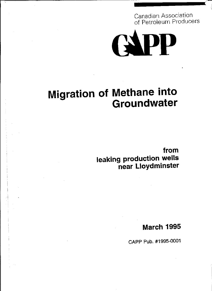Canadian Association of Petroleum Producers



## **Migration of Methane into Groundwater**

**from leaking production wells near Lloydminster** 

**March 1995** 

CAPP Pub. #1995-0001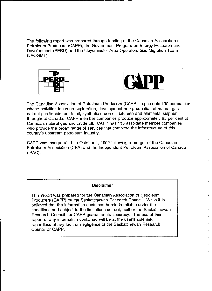The following report was prepared through funding of the Canadian Association of Petroleum Producers (CAPP), the Government Program on Energy Research and Development (PERD) and the Lloydminster Area Operators Gas Migration Team (LAOGMT).





The Canadian Association of Petroleum Producers (CAPP) represents 190 companies **whose activities focus on exploration, development and production of natural gas,**  natural gas liquids, crude oil, synthetic crude oil, bitumen and elemental sulphur throughout Canada. CAPP member companies produce approximately 95 per cent of **Canada's natural gas and crude oiL CAPP has 115 associate member companies who provide the broad range of services that complete the infrastructure of this**  country's upstream petroleum industry.

CAPP was incorporated on October 1, 1992 following a merger of the Canadian Petroleum Association (CPA) and the Independent Petroleum Association of Canada (IPAC).

#### **Disclaimer**

This report was prepared for the Canadian Association of Petroleum Producers (CAPP) by the Saskatchewan Research Council. While it is **believed that the information contained herein is reliable under the**  conditions and subject to the limitations set out, neither the Saskatchewan Research Council nor CAPP guarantee its accuracy. The use of this **report or any information contained will be at the user's sole risk,**  regardless of any fault or negligence of the Saskatchewan Research Council or CAPP.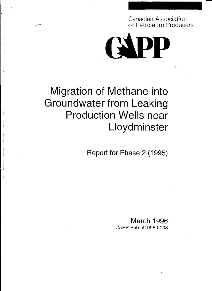Canadian Association of Petroleum Producers

.

# Migration of Methane into Groundwater from Leaking Production Wells near ·Lloyd minster

Report for Phase 2 (1995)

March 1996 CAPP Pub. #1996-0003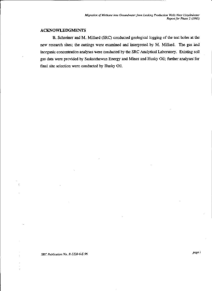#### ACKNOWLEDGMENTS

B. Schreiner and M. Millard (SRC) conducted geological logging of the test holes at the new research sites; the cuttings were examined and interpreted by M. Millard. The gas and inorganic concentration analyses were conducted by the SRC Analytical Laboratory. Existing soil gas data were provided by Saskatchewan Energy and Mines and Husky Oil; further analyses" for final site selection were conducted by Husky Oil.

*SRC Publication No. R-1220-6-E-96 page* <sup>i</sup>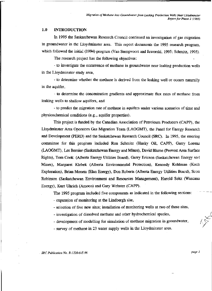#### 1.0 INTRODUCTION

In 1995 the Saskatchewan Research Council continued an investigation of gas migration in groundwater in the Uoydminster area. This report documents the 1995 research program, which followed the initial (1994) program (Van Stempvoort and Jaworski, 1995; Schmitz, 1995).

The research project has the following objectives:

- to investigate the occurrence of methane in groundwater near leaking production wells in the Lloydminster study area,

- to determine whether the methane is derived from the leaking well or occurs naturally in the aquifer,

- to determine the concentration gradients and approximate flux rates of methane from leaking wells to shallow aquifers, and

- to predict the migration rate of methane in aquifers under various scenarios of time and physicochemical conditions (e.g., aquifer properties).

This project is funded by the Canadian Association of Petroleum Producers (CAPP), the Lloydminster Area Operators Gas Migration Team (LAOGMT), the Panel for Energy Research and Development (PERD) and the Saskatchewan Research Council (SRC). In 1995, the steering committee for this program included Ron Schmitz (Husky Oil, CAPP), Garry Lorenz (LAOGM1}, Les Bernier (Saslaitchewan Energy and Mines), David Blume (Provost Area Surface Rights), Tom Cook (Alberta Energy Utilities Board), Garry Ericson (Saskatchewan Energy and Mines), Margaret Klebek (Alberta Enviromnental Protection), Kennedy Kohbnan (Koch Exploration), Brian Moneta (Elan Energy), Don Roberts (Alberta Energy Utilities Board), Scott Robinson (Saskatchewan Environment and Resources Management), Harold Seitz (Wascana Energy), Kurt Uhrich (Amoco) and Gary Webster (CAPP).

The 1995 program included five components as indicated in the following sections:

- expansion of monitoring at the Lindbergh site,

- selection of five new sites; installation of monitoring wells at two of these sites,

- investigation of dissolved methane and other hydrochemical species,

- development of modelling for simulation of methane migration in groundwater,

- survey of methane in 23 water supply wells in the Lloydminster area.

*SRC Publication No. R-122().6-E-96 page* 1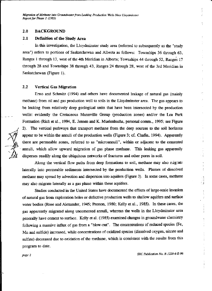*Migration* of *Mdhnne into Groundwater from Lea/dng Production Wells Near Lloydminster Report for Phase 2 (1995)* 

#### 2.0 BACKGROUND

#### 2.1 Definition of the Study Area

.--------------------------------

In this investigation, the Lloydminster study area (referred to subsequently as the "study area") refers to portions of Saskatchewan and Alberta as follows: Townships 36 through 63, Ranges 1 through 13, west of the 4th Meridian in Alberta; Townships 44 through 52, Ranges 17 through 28 and Townships 38 through 43, Ranges 24 through 28, west of the 3rd Meridian in Saskatchewan (Figure 1).

#### 2.2 Vertical Gas Migration

Emo and Schmitz (1994) and others have documented leakage of natural gas (mainly methane) from oil and gas production well to soils in the Lloydminster area. The gas appears to be leaking from relatively deep geological units that have been intersected by the production wells: evidently the Cretaceous Mannville Group (production zones) and/or the Lea Park Formation (Rich et al., 1994, E. Jensen and K. Muelenbachs, personal comm., 1995; see Figure 2). The vertical pathways that transport methane from the deep sources to the soil horizons appear to he within the anuuli of the production wells (Figure 3; cf. Chafin, 1994). Apparently there are permeable zones, referred to as "microannuli", within or adjacent to the cemented annuli, which allow upward migration of gas phase methane. This leaking gas apparently disperses readily along the ubiquitous networks of fractures and other pores in soil.

Along the vertical flow paths from deep formations to soil, methane may also rrighter laterally into permeable sediments intersected by the production wells. Plumes of dissolved methane may spread by advection and dispersion into aquifers (Figure 3). In some cases, methane may also migrate laterally as a gas phase within these aquifers.

Studies conducted in the United States have documented the effects of large-scale invasion of natural gas from exploration holes or defective production wells to shallow aquifers and surface water bodies (Rose and Alexander, 1945; Preston, 1980; Kelly et al., 1985). In these cases, the gas apparently migrated along uncemented annuli, whereas the wells in the Lloydminster area generally have cement to surface. Kelly et al. (1985) examined changes in groundwater chemistry following a massive influx of gas from a "blow-out". The concentrations of reduced species (Fe, Mn and sulfide) increased, while concentrations of oxidized species (dissolved oxygen. nitrate and sulfate) decreased due to oxidation of the methane, which is consistent with the results from this program to date.

page 2 *SRC Publication No. R-1220-6-E-96* 

 $\frac{1}{2}$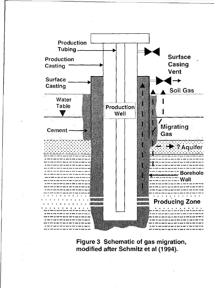

Figure 3 Schematic of gas migration, modified after Schmitz et al (1994).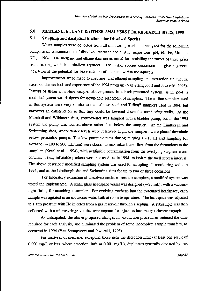## 5.0 METHANE, ETHANE & OTHER ANALYSES FOR RESEARCH SITES, 1995

#### 5.1 Sampling and Analytical Methods for Dissolved Species

Water samples were collected from all monitoring wells and analysed for the following components: concentrations of dissolved methane and ethane, major ions, pH, Eh, Fe, Mn, and  $NO<sub>3</sub> + NO<sub>2</sub>$ . The methane and ethane data are essential for modelling the fluxes of these gases from leaking wells into shallow aquifers. The redox species concentrations give a general indication of the potential for bio-oxidation of methane within the aquifers.

hnprovements were made to methane (and ethane) sampling and extraction techniques, based on the methods and experience of the 1994 program (Van Stempvoort and Jaworski, 1995). Instead of using an in-line sampler above-ground in a back-pressured system, as in 1994, a modified system was designed for down-hole placement of samplers. The in-line samplers used in this system were very similar to the stainless steel and Teflon<sup>®</sup> samplers used in 1994, but narrower in construction so that they could be lowered down the monitoring wells. At the Marshall and Wildmere sites, groundwater was sampled with a bladder pump, but in the 1995 system the pump was located above rather than below the sampler. At the Lindbergh and Swimming sites, where water levels were relatively high, the samplers were placed downhole below peristaltic pumps. The low pumping rates during purging  $(-10 L)$  and sampling for methane ( $\sim$  100 to 200 mL/min) were chosen to maximize lateral flow from the formations to the samplers (Kearl et al., 1994), with negligible contamination from the overlying stagnant water colunm. Thus, inflatable packers were not used, as in 1994, to isolate the well screen interval. The above described modified sampling system was used for sampling all monitoring wells in 1995, and at the Lindbergh site and Swimming sites for up to two or three occasions.

For laboratory extraction of dissolved methane from the samplers, a modified system was tested and implemented. A small glass headspace vessel was designed  $(-20 \text{ mL})$ , with a vacuumtight fitting for attaching a sampler. For evolving methane into the evacuated headspace, each sample was agitated in an ultrasonic water bath at room temperature. The headspace was adjusted to 1 atm pressure with He injected from a gas reservoir through a septum. A subsample was then collected with a microsyringe via the same septum for injection into the gas chromatograph.

As anticipated, the above proposed changes in extraction procedures reduced the time required for each analysis. and eliminated the problem of some incomplete sample transfers, as occurred in 1994 (Van Stempvoort and Jaworski. 1995).

For analyses of methane, excepting those near the detection limit (at least one result of 0.003 mg/L or less, where detection limit =  $0.001$  mg/L), duplicates generally deviated by less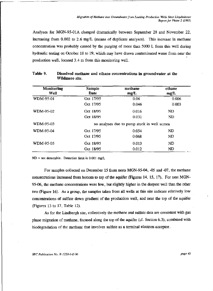Analyses for MGN-95-0IA changed dramatically between September 28 and November 22, increasing from 0.002 to 2.6 mg/L (means of duplicate analyses). This increase in methane concentration was probably caused by the purging of more than 5000 L from this well during hydraulic testing on October 18 to 19, which may have drawn contaminated water from near the production well, located 3.4 m from this monitoring well.

| <b>Monitoring</b><br>Well | <b>Sample</b><br><b>Date</b> | methane<br>mg/L                              | ethane<br>mg/L |  |  |
|---------------------------|------------------------------|----------------------------------------------|----------------|--|--|
| WDM-95-01                 | Oct 17/95                    | 0.06                                         | 0.006          |  |  |
|                           | Oct 17/95                    | 0.046                                        | 0.003          |  |  |
| WDM-95-02                 | Oct 18/95                    | 0.016                                        | ND             |  |  |
|                           | Oct 18/95                    | 0.031                                        | ND             |  |  |
| WDM-95-03                 |                              | no analyses due to pump stuck in well screen |                |  |  |
| WDM-95-04                 | Oct 17/95                    | 0.054                                        | ND             |  |  |
|                           | Oct 17/95                    | 0.068                                        | ND             |  |  |
| WDM-95-05                 | Oct 18/95                    | 0.013                                        | <b>ND</b>      |  |  |
|                           | Oct 18/95                    | 0.012                                        | ND             |  |  |

#### Table 9. Dissolved methane and ethane concentrations in groundwater at the Wildmere site.

 $ND = not detectable$ . Detection limit is 0.001 mg/L

For samples collected on December 15 from nests MGN-95-04, -05 and -07, the methane concentrations increased from bottom to top of the aquifer (Figures 14, 15, 17). For nest MGN-95-06, the methane concentrations were low, but slightly higher in the deepest well than the other two (Figure 16). As a group, the samples taken from all wells at this site indicate relatively low concentrations of sulfate down gradient of the production well, and near the top of the aquifer (Figures 13 to 17, Table 12).

As for the Lindbergh site, collectively the methane and sulfate data are consistent with gas phase migration of methane, focused along the top of the aquifer (cf. Section 6.3), combined with biodegradation of the methane that involves sulfate as a terminal electron-acceptor,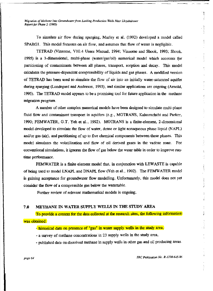*Migration of Methane inlo Groundwater from Leaking Production Wells Near Lloydminster Reponfor Phase 2 (1995)* 

To simulate air flow during sparging, Marley et a!. (1992) developed a model called SPARGl. This model focusses on air flow, and assumes that flow of water is negligible.

TETRAD (Vinsome, V10.4 Users Manual, 1994; Vinsome and Shook, 1993; Shook, 1995) is a 3-dimensional, multi-phase (water/gas/oil) numerical model which accounts for partitioning of contaminants between all phases, transport, sorption and decay. This model calculates the pressure-dependent compressibility of liquids and gas phases. A modified version of TETRAD has been used to simulate the flow of air into an initially water-saturated aquifer during sparging (Lundegard and Anderson, 1993), and similar applications are ongoing (Arnold, 1995). The TETRAD model appears to be a promising tool for future application in the methane migration program.

A number of other complex numerical models have been designed to simulate multi-phase fluid flow and contaminant transport in aquifers (e.g., MOTRANS, Kaluarachchi and Parker, 1990; FEMWATER, G.T. Yeh et ai., 1992). MOTRANS is a finite-element, 2-dimensional model developed to simulate the flow of water, dense or light nonaqueous phase liquid (NAPL) and/or gas (air), and partitioning of up to five chemical components between these phases. This model simulates the volatilization and flow of oil derived gases in the vadose zone. For conventional simulations, it ignores the flow of gas below the water table in order to improve runtime performance.

FEMWATER is a finite element model that, in conjunction with LEWASTE is capable of being used to model LNAPL and DNAPL flow (Yeh et al., 1992). The FEMWATER model is gaining acceptance for groundwater flow modelling. Unfortunately, this model does not yet consider the flow of a compressible gas below the watertable.

Further review of relevant mathematical models is ongoing.

#### 7.0 METHANE IN WATER SUPPLY WELLS IN THE STUDY AREA

To provide a context for the data collected at the research sites. the following information was obtained:

- historical data on presence of "gas" in water supply wells in the study area,

- a survey of methane concentrations in 23 supply wells in the study area,
- -published data on dissolved methane in supply wells in other gas and oil producing areas.

*page 64 SRC Publication No. R-1220-6-E-96*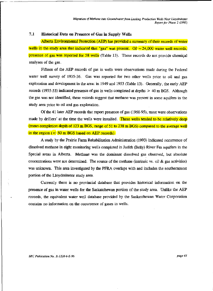*Migration of Methane into Groundwater from Leaking Production Wells Near Lloydminster Reponfor Phase* 2 *(1995)* 

#### 7.1 Historical Data on Presence of Gas in Supply Wells

Alberta Environmental Protection (AEP) has provided a summary of their records of water wells in the study area that indicated that "gas" was present. Of  $\sim 24,000$  water well records, presence of gas was reported for 58 wells (Table 13). These records do not provide chemical analyses of the gas.

Fifteen of the AEP records of gas in wells were observations made during the Federal water well survey of 1935-36. Gas was reported for two other wells prior to oil and gas exploration and development in the area: in 1949 and 1953 (Table 13). Generally, the early AEP records (1935-53) indicated presence of gas in wells completed at depths  $> 40$  m BGS. Although the gas was not identified, these records suggest that methane was present in some aquifers in the study area prior to oil and gas exploration.

Of the 41 later AEP records that report presence of gas (1960-95), most were observations made by drillers' at the time the wells were installed. These wells tended to be relatively deep (mean completion depth of 123 m BGS, range of 51 to 238 m BGS) compared to the average well in the region  $(< 50 \text{ m } BGS$  based on AEP records).

A study by the Prairie Farm Rehabilitation Administration (1993) indicated occurrence of dissolved methane in eight monitoring wells completed in Judith (Belly) River Fm aquifers in the Special areas in Alberta. Methane was the dominant dissolved gas observed, but absolute concentrations were not determined. The source of the methane (intrinsic vs. oil  $\&$  gas activities) was unknown. This area investigated by the PFRA overlaps with and includes the southernmost portion of the Lloydminster study area.

Currently there is no provincial database that provides historical information on the presence of gas in water wells for the Saskatchewan portion of the study area. Unlike the AEP records, the equivalent water well database provided by the Saskatchewan Water Corporation contains no information on the occurrence of gases in wells.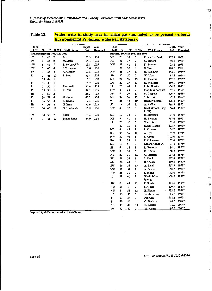*Migration of Methane into Groundwater from Leaking Production Wells Near Lloydminster Reponfor Phase* 2 (1995)

| O or<br>LSD                    | Sec - | T. | R W4           | <b>Well Owner</b> | Depth<br>(m) | Year<br>Reported | O or<br><b>LSD</b> | Sec            | T  | <b>RW4</b>                     | <b>Well Owner</b>               | <b>Depth</b><br>(m) | Year<br>Reported |
|--------------------------------|-------|----|----------------|-------------------|--------------|------------------|--------------------|----------------|----|--------------------------------|---------------------------------|---------------------|------------------|
| Reported between 1935 and 1953 |       |    |                |                   |              |                  |                    |                |    | Reported between 1960 and 1995 |                                 |                     |                  |
| NE                             | 32    | 41 | $\mathbf{2}$   | Feero             | 117.3        | 1935             | NE                 | 29             | 36 | 5                              | Provo Gas Prod.                 | 237.7               | 1960.            |
| SW                             | 4     | 42 | $\overline{2}$ | McMann            | 114.3        | 1935             | NE                 | 31             | 37 | 9                              | G. Hewiltt                      | 42.7                | 1960             |
| NW                             | 6     | 42 | 7              | S. McLaughlin     | 19.8         | 1935             | NW                 | 28             | 41 | 13                             | D. Bownes                       | 73.2                | 1979             |
| sw                             | 3     | 43 | 4              | S.V. Snyder       | 3.0          | 1935             |                    | 34             | 37 | 8                              | S. Twa                          | 160.0               | 1988             |
| sw                             | 11    | 44 | 3              | A. Cooper         | 97.5         | 1935             | NW                 | 23             | 37 | 13                             | R. Holloway                     | 142.0               | 1964*            |
| 12                             | 3     | 48 | 12             | F. Ploc           | 45.4         | 1935             | SW                 | 15             | 50 | 2                              | W. Ulan                         | 87.8                | 1964*            |
| 8                              | 35    | 49 | 1              |                   | 6.1          | 1935             | SE                 | 24             | 36 | 12                             | H. Plenhert                     | 132.6               | 1965*            |
| 14                             | 36    | 49 | $\mathbf{1}$   |                   | 38.7         | 1935             | SW                 | 22             | 37 | 13                             | H. Wideman                      | 189.0               | 1965*            |
| 1                              | 3     | 50 | $\mathbf{1}$   | <b>Blackwell</b>  | 50.6         | 1935             | 14                 | 20             | 46 | $\overline{\mathbf{c}}$        | J. W. Gordon                    | 106.7               | 1966*            |
| 15                             | 23    | 50 | $\mathbf{1}$   | K. Parr           | 34.1         | 1935             | NW                 | 30             | 43 | 9                              | <b>Mon-Max Services</b>         | 67.1                | 1967*            |
| SE                             | 34    | 50 | $\overline{2}$ |                   | 28.3         | 1935             | SW                 | 4              | 39 | 13                             | D. Coppack                      | 106.7               | 1968*            |
| 15                             | 34    | 52 | 4              | Hodgson           | 47.2         | 1935             | <b>NE</b>          | 32             | 36 | 12                             | S. Mereski                      | 82.3                | 1969*            |
| 4                              | 36    | 52 | 4              | R. Seville        | 102.4        | 1935             | 9                  | 25             | 42 | 10                             | Hardisty Storage                | 125.3               | 1969*            |
| <b>SE</b>                      | 4     | 53 | 4              | G. Brett          | 71.9         | 1935             | SE                 | 14             | 36 | 12                             | A. McRae                        | 118.9               | 1970*            |
| NE                             | 16    | 45 | 11             | G.F. Albrecht     | 115.8        | 1936             | NW                 | 4              | 57 | 3                              | North School (Frog<br>$L$ . IR) | 56.4                | 1970*            |
| SW                             | 14    | 50 | 2              | Plater            | 63.4         | 1949             | <b>SE</b>          | 19             | 43 | $\mathbf 2$                    | R. Morrison                     | 71.9                | 1971*            |
| 4                              | 7     | 45 | 12             | Seman Engin.      | 54.9         | 1953             | <b>NE</b>          | 3              | 40 | 5                              | H. Tennant                      | 167.6               | 1972*            |
|                                |       |    |                |                   |              |                  | 11                 | 25             | 50 | 5                              | Water Res.                      | 51.8                | 1972*            |
|                                |       |    |                |                   |              |                  |                    | 19             | 36 | 11                             | D.&E. Dennis                    | 173.7               | 1973*            |
|                                |       |    |                |                   |              |                  | <b>NE</b>          | 8              | 48 | 11                             | J. Veenstra                     | 106.7               | 1973*            |
|                                |       |    |                |                   |              |                  | SE.                | 36             | 36 | 12                             | A. Bvc                          | 137.2               | $1974*$          |
|                                |       |    |                |                   |              |                  | NW                 | 20             | 40 | 8                              | L. Crone                        | 192.0               | 1974*            |
|                                |       |    |                |                   |              |                  | SW                 | 9.             | 39 | 8                              | R. Gilbertson                   | 152.4               | 1975*            |
|                                |       |    |                |                   |              |                  | SE                 | 18             | 51 | $\overline{2}$                 | General Crude Oil               | 91.4                | 1975*            |
|                                |       |    |                |                   |              |                  | SE                 | 6              | 36 | 3                              | R. Worobo                       | 184.1               | 1976*            |
|                                |       |    |                |                   |              |                  | NW                 | 8              | 36 | 6                              | K. Gilmer                       | 160.3               | 1976*            |
|                                |       |    |                |                   |              |                  | NE                 | 22             | 36 | 12                             | C. Plebnert                     | 137.2               | 1976*            |
|                                |       |    |                |                   |              |                  | SE                 | 28             | 37 | 8                              | J. Ekrol                        | 177.4               | 1977*            |
|                                |       |    |                |                   |              |                  | SW                 | 36             | 41 | 9                              | <b>B.</b> Cullen                | 169.5               | 1977*            |
|                                |       |    |                |                   |              |                  | SW                 | 16             | 38 | 13                             | A. Engel                        | 117.7               | 1978*            |
|                                |       |    |                |                   |              |                  | NW                 | 11             | 59 | 9                              | A. Severin                      | 68.3                | 1978*            |
|                                |       |    |                |                   |              |                  | NW                 | 25             | 36 | $\overline{\mathbf{2}}$        | J. Scheck                       | 142.0               | 1979*            |
|                                |       |    |                |                   |              |                  | 10                 | 28             | 60 | 3                              | World Wide<br>Energy            | 109.7               | 1982*            |
|                                |       |    |                |                   |              |                  | SW                 | 6              | 41 | 12                             | P. Spady                        | 125.6               | 1986*            |
|                                |       |    |                |                   |              |                  | NW                 | 26             | 50 | 2                              | L. Gnyra                        | 109.7               | 1989*            |
|                                |       |    |                |                   |              |                  | NW                 | $\overline{2}$ | 53 | 12                             | E. Horon                        | 103.6               | 1989*            |
|                                |       |    |                |                   |              |                  | <b>NE</b>          | 19             | 53 | 7                              | Jacula Farms                    | 85.3                | 1990*            |
|                                |       |    |                |                   |              |                  | 4                  | 21             | 38 | 1                              | Pan Cdn.                        | 218.8               | 1992*            |
|                                |       |    |                |                   |              |                  | 8                  | 33             | 42 | 11                             | C. Davidson                     | 65.5                | 1994*            |
|                                |       |    |                |                   |              |                  | NE                 | 17             | 42 | 13                             | <b>B.</b> Kuefler               | 76.2                | 1994*            |
|                                |       |    |                |                   |              |                  | SW                 | 33             | 52 | 2                              | M. Hames                        | 97.5                | 1995*            |

#### Table 13. Water wells in study area in which gas was noted to be present (Alberta Environmental Protection waterwell database).

"'reponed by driller at time of well instillation

r.

 $\frac{1}{2}$ Í

 $\sum_{i=1}^{N}$  $\frac{1}{2}$ 

> $\frac{1}{2}$ ł

 $\tilde{\mathcal{E}}$ 

ś

ķ š  $\mathbb{R}^2$ 

ğ

ុះ - 3

> Î Á

经通道

ś

*page66*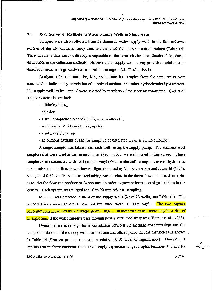#### 7.2 1995 Survey of Methane in Water Supply Wells in Study Area

Samples were also collected from 23 domestic water supply wells in the Saskatchewan portion of the Lloydminster study area and analyzed for methane concentrations (Table 14). These methane data are not directly comparable to the research site data (Section 2.3), due to differences in the collection methods. However, this supply well survey provides useful data on dissolved methane in groundwater as used in the region (cf. Chafm, 1994).

Analyses of major ions, Fe, Mn, and nitrate for samples from the same wells were conducted to indicate any correlation of dissolved methane and other hydrochemical parameters. The supply wells to be sampled were selected by members of the steering committee. Each well supply system chosen had:

- a lithologic log,

-an e-log,

- -a well completion record (depth, screen interval),
- well casing  $< 30$  cm  $(12")$  diameter,

-a submersible pump,

-an outdoor hydrant or tap for sampling of untreated water (i.e., no chlorine).

A single sample was taken from each well, using the supply pump. The stainless steel samplers that were used at the research sites (Section 5.1) were also used in this survey. These samplers were connected with 1.64 cm dia. vinyl (PVC reinforced) tubing to the well hydrant or tap, similar to the in-line, down-flow configuration used by Van Stempvoort and Jaworski (1995). A length of 0.82 em dia. stainless steel tubing was attached to the down-flow end of each sampler to restrict the flow and produce back-pressure, in order to prevent formation of gas bubbles in the system. Each system was purged for 10 to 20 min prior to sampling.

Methane was detected in most of the supply wells (20 of 23 wells, see Table 14). The concentrations were generally low: all but three were  $\langle 0.05 \text{ mg/L} \rangle$ . The two highest concentrations measured were slightly above 1 mg/L. In these two cases, there may be a risk of an explosion, if the water supplies pass through poorly ventilated air spaces (Harder et al., 1965).

Overall, there is no significant correlation between the methane concentrations and the completion depths of the supply wells, or methane and other hydrochemical parameters as shown in Table 14 (Pearson product moment correlation, 0.05 level of significance). However, it appears that methane concentrations are strongly dependent on geographic locations and aquifer

**SRC Publication No. R-1220-6-E-96 page 67** page 67 page 67 page 67 page 67 page 67 page 67 page 67 page 67 page 67 page 67 page 67 page 67 page 67 page 67 page 67 page 67 page 67 page 67 page 67 page 67 page 67 page 67 pa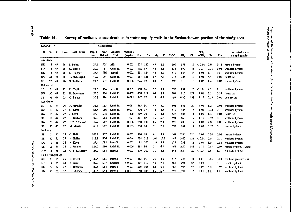$\sim$ &:

 $\sim$ 

## Table 14. Survey of methane concentrations in water supply wells in the Saskatchewan portion of the study area.

| <b>LOCATION</b> |              |                    |            |                   |              |                 | ---------Completion---------- |                   |         |        |     |      |     |      |           |              |      |      |                                   |  |
|-----------------|--------------|--------------------|------------|-------------------|--------------|-----------------|-------------------------------|-------------------|---------|--------|-----|------|-----|------|-----------|--------------|------|------|-----------------------------------|--|
| 0               | Sec          | т                  | <b>RW3</b> | <b>Well Owner</b> | Depth<br>(m) | Year<br>Dritled | <b>Aquifer</b><br>Unit        | Methane<br>(mg/L) | Na      | Ca     | Mg  | ĸ    | HCO | SO.  | <b>CI</b> | NO,<br>$+NO$ | Fe   | Mn   | untreated water<br>sampling point |  |
| Aberfeldy       |              |                    |            |                   |              |                 |                               |                   |         |        |     |      |     |      |           |              |      |      |                                   |  |
| ΝE              | 13           | 49                 | 26         | J. Phipps         | 29.6         | 1978            | drift                         | 0.002             | 278     | 120    | 49  | 6.5  | 599 | 578  | 17        | < 0.01       | 2.0  | 0.12 | remote hydrant                    |  |
| sw              | 15           | 49                 | 26         | G. Pierce         | 20.7         | 1981            | Judith R.                     | 0.005             | 402 87  |        | 46  | 5.8  | 631 | 692  | 34        | 1.2          | 0.31 | 0.04 | wellhead hydrant                  |  |
| NE              | 18           | 49                 | 26         | M. Napper         | 27.4         | 1986            | intertifl                     | 0.002             | 351     | 124    | 42  | 5.7  | 612 | 658  | 48        | 0.04         | 1.1  | 0.5  | wellhead hydrant                  |  |
| NW              | 23           | 49                 | 26         | T. McDougall      | 40.2         | 1984            | Judith R.                     | 0.001             | 367     | 121    | 59  | 7.8  | 715 | 725  | 13        | 0.02         | 4.4  | 0.09 | house tap                         |  |
| SE              | 28           | 49                 | 26         | S. Rollheiser     | 23.5         | 1987            | Judith R.                     | 0.008             | 226     | 190    | 84  | 8.8  | 692 | 718  | 8         | 0.02         | 1.4  | 0.03 | remote hydrant                    |  |
| Golden Lake     |              |                    |            |                   |              |                 |                               |                   |         |        |     |      |     |      |           |              |      |      |                                   |  |
| SE              | 8            | 47                 | 23         | H. Tuplin         | 23.5         | 1976            | intertill                     | 0.002             | 158     | 268    | 97  | 8.7  | 598 | 932  | 23        | < 0.01       | 4.2  | 1.1  | wellhead hydrant                  |  |
| NW              | 30           | 47                 | 23         | R. Stevenson      | 55.5         | 1986            | Judith R.                     | 0.469             | 470 111 |        | 64  | 8.7  | 709 | 815  | 127       | 0.01         | 7.1  | 0.14 | house tap                         |  |
| SE              | 35           | 47                 | 23.        | C. Ballan         | 30.8         | 1994            | Judith R.                     | 0.015             | 747 37  |        | 18  | 6.8  | 494 | 1130 | 158       | 0.17         | 0.19 | 0.01 | quonset tap                       |  |
| Lone Rock       |              |                    |            |                   |              |                 |                               |                   |         |        |     |      |     |      |           |              |      |      |                                   |  |
| SE              | 30           | 47                 | 26         | P. Mihalich       | 22.6         | 1993            | Judith R.                     | 0.01              | 365     | -91    | 43  | 8.0  | 601 | 643  | 29        | 0.06         | 1.2  | 0.05 | wellhead hydrant                  |  |
| SW              | 10           | 47                 | 27         | G. Lamb           | 65.5         | 1986            | Judith R.                     | 0.007             | 620 37  |        | 18  | 5.5  | 619 | 928  | 15        | 0.06         | 0.32 | 0    | wellhead hydrant                  |  |
| sw              | 15           | 47                 | 27         | J. Lamb           | 36.0         | 1976            | Judith R.                     | 1.308             | 609 30  |        | 15  | 4.1  | 633 | 885  | 14        | 0.05         | 1.3  | 0.02 | house tap                         |  |
| SЕ              | 17           | 47                 | 27         | D. Graham         | 39.0         | 1984            | Judith R.                     | 1.071             | 441     | -67    | 36  | 6.6  | 694 | 668  | 9         | 0.16         | 0.72 | 0    | wellhead hydrant                  |  |
| SW              | 30           | 47                 | 27         | J.W. Anderson     | 49.7         | 1987            | Judith R.                     | 0.006             | 210 132 |        | 66  | 7.1  | 698 | 480  | 7         | 0.08         | 2.0  | 0.01 | wellhead hydrant                  |  |
| SE              | 33           | 47                 | 27         | M. Martin         | 68.9         | 1987            | Judith R.                     | 0.003             | 330 14  |        | 7.1 | 2.9  | 592 | 261  | 7         | 0.03         | 0.17 | 0    | remote hydrant                    |  |
| Neilburg        |              |                    |            |                   |              |                 |                               |                   |         |        |     |      |     |      |           |              |      |      |                                   |  |
| SE              | $\mathbf{2}$ | 45                 | 25         | G. Hall           | 108.2        | 1977            | Judith R.                     | 0.032             | 900     | -18    | 6   | 5.7  | 464 | 1280 | 220       | 0.04         | 0.34 | 0.02 | remote hydrant                    |  |
| SE              | 23           | 45                 | 25         | N. Hallet         | 118.9        | 1976            | Judith R.                     | 0.044             | 508     | 213    | 104 | 12.0 | 483 | 1440 | 124       | < 0.01       | 5.6  | 0.11 | wellhead hydrant                  |  |
| sw              | 8            | 45                 | 26         | N. Koch           | 27.4         | 1988            | <i>intertill</i>              | 0.003             | 83      | 240    | 124 | 7.5  | 671 | 738  | 11        | 0.03         | 3.0  | 0.98 | wellhead hydrant                  |  |
| SE              | 25           | 45                 | 26         | L. Watson         | 124.7        | 1980            | Judith R.                     | 0.006             | 898     | 86     | 31  | 6.9  | 468 | 1650 | 145       | 0.71         | 0.17 | 0.09 | remote hydrant, leaking           |  |
| NW              | 30           | 45                 | 26         | G. McGladdrey     | 26.2         | 1988            | intertill                     | 0.003             | 170     | 389    | 189 | 8.2  | 543 | 1520 | 26        | 0.01<br><    | 2.8  | 1.3  | wellhead hydrant                  |  |
| Celtic,         |              | <b>Tangleflags</b> |            |                   |              |                 |                               |                   |         |        |     |      |     |      |           |              |      |      |                                   |  |
| SE              | 23           | 51                 | 25         | L. Bright         | 20.4         | 1985            | intertill                     | < 0.001           | 163 91  |        | 36  | 4.2  | 517 | 232  | 44        | 1.0          | 0.15 | 0.08 | wellhead pressure tank            |  |
| NE              | 5            | 51                 | 23         | K. Jarret         | 29.3         | 1977            | <b>Empress</b>                | < 0.001           | 107.    | -119   | 48  | 7.8  | 465 | 294  | 28        | 0.89         | 0    | 0    | remote hydrant                    |  |
| SE              | 34           | 52                 | 22         | L. Hoffman        | 29.9         | 1984            | intertill                     | 0.001             | 206     | -168   | 62  | 6.3  | 688 | 532  | 20        | 0.02         | 2.0  | 0.62 | wellhead hydrant                  |  |
| sw              | 27           | 53                 | 22         | S. Schneider      | 43.9         | 1992            | intertill                     | ${}< 0.001$       |         | 50 183 | 65  | 6.2  | 595 | 338  | 2         | 0.01         | 1.7  | 1.4  | wellhead hydrant                  |  |

s<br>Belong

 $\mathbf{r}$  . The constant

.

 $\epsilon$ , , ,

,,,, """""

øх. .<br>Voqeal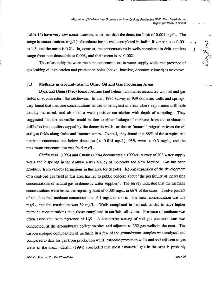Table 14) have very low concentrations, at or less than the detection limit of 0.001 mg/L. The range in concentrations (mg/L) of methane for all wells completed in Judith River sands is 0.001 to 1.3, and the mean is 0.21. In, contrast, the concentrations in wells completed in drift aquifers range from non-detectable to  $0.003$ , and their mean is  $< 0.002$ .

The relationship between methane concentrations in water supply wells and presence of gas-leaking oil exploration and production holes (active, inactive, decommissioned) is unknown.

#### 7.3 Methane in Groundwater in Other Oil and Gas Producing Areas

Dyck and Dunn (1986) found methane (and heliwn) anomalies associated with oil and gas fields in southwestern Saskatchewan. In their 1976 survey of 939 domestic wells and springs, they found that methane concentrations tended to be highest in areas where exploration drill hole density increased, and also had a weak positive correlation with depth of sampling. They suggested that the anomalies could be due to either leakage of methane from the exploration drillholes into aquifers tapped by the domestic wells, or due to "natural" migration from the oil and gas fields along faults and fracture zones. Overall, they found that 88% of the samples had methane concentrations below detection ( $< 0.014$  mg/L), 95% were  $< 0.3$  mg/L, and the maximum concentration was 94.5 mg/L.

Chafin et al. (1993) and Chafin (1994) documented a 1990-91 survey of 203 water suppiy wells and 2 springs in the Animas River Valley of Colorado and New Mexico. Gas has been produced from various formations in this area for decades. Recent expansion of the development of a coal-bed gas field in this area has led to public concern about "the possibility of increasing concentrations of natural gas in domestic water supplies". The survey indicated that the methane concentrations were below the reporting limit of 0.005 mg/L in 66% of the cases. Twelve precent of the sites had methane concentrations of 1 mg/L or more. The mean concentration was 1.3  $\cdot$ mg/L, and the maximum was 39 mg/L. Wells completed in bedrock tended to have higher methane concentrations than those completed in surficial alluvium. Presence of methane was often associated with presence of  $H_2S$ . A concurrent survey of soil gas concentrations was conducted, at the groundwater collection sites and adjacent to 352 gas wells in the area. The carbon isotopic composition of methane in a few of the groundwater samples was analysed and compared to data for gas from production wells, cathodic-protection wells and soil adjacent to gas wells in the area. Chafin (1994) concluded that most "shallow" gas in the area is probably

*SRC Publication No. R-1220-6-E-96* page69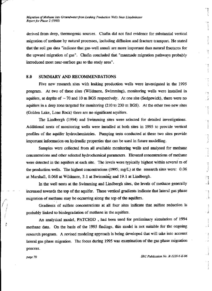derived from deep. thermogenic sources. Chafin did not find evidence for substantial vertical migration of methane by natural processes, including diffusion and fracture transport. He stated that the soil gas data "indicate that gas-well annuli are more imponant than natural fractures for the upward migration of gas". Chafin concluded that "manmade migration pathways probaply introduced most near-surface gas to the study area".

#### 8.0 SUMMARY AND RECOMMENDATIONS

Five new research sites with leaking production wells were investigated in the 1995 program. At two of these sites (Wildmere, Swimming). monitoring wells were installed in aquifers, at depths of  $\sim$  70 and 10 m BGS respectively. At one site (Sedgewick), there were no aquifers in a deep zone targeted for monitoring (210 to 230m BGS). At the other two new sites (Golden Lake, Lone Rock) there are no significant aquifers.

The Lindbergh (1994) and Swimming sites were selected for detailed investigations. Additional nests of monitoring wells were installed at both sites in 1995 to provide vertical profiles of the aquifer hydrochemistries. Pumping tests conducted at these two sites provide important information on hydraulic properties that can be used in future modelling.

Samples were collected from all available monitoring wells and analysed for methane concentrations and other selected hydrochemical parameters. Elevated concentrations of methane were detected in the aquifers at each site. The levels were typically highest within several m of the production wells. The highest concentrations (1995; mg/L) at the research sites were: 0.06 at Marshall, 0.068 at Wildmere, 3.1 at Swimming and 19.1 at Lindbergh.

In the well nests at the Swimming and Lindbergh sites, the levels of methane generally increased towards the top of the aquifer. These vertical gradients indicate that lateral gas phase migration of methane may be occurring along the top of the aquifers.

Gradients of sulfate concentrations at all four sites indicate that sulfate reduction is probably linked to biodegradation of methane in the aquifers.

An analytical model, PATCH3D , had been used for preliminary simulation of 1994 methane data. On the basis of the 1995 findings, this model is not suitable for the ongoing research program. A revised modeling approach is being developed that will take into account lateral gas phase migration. The focus during 1995 was examination of the gas phase migration process.

page *70 SRC Publication No. R-1220-6-E-96* 

.. "~~ : .:,. '•

 $\mathbb{R}^+$  $1.14341$ 

 $\mathbf{r}_2 \rightarrow \mathbf{r}_2$ 

Wallace College

 $\frac{1}{2}$ 

Ķ ł.

*;:.* 

. L

e<br>Samu sala

干覆 一言

 $\frac{1}{3}$ 

 $\tilde{\mathcal{G}}$ ં કે

 $\frac{1}{2}$ 

 $\cdot$  .  $\cdot$ 

;'· I '<br>!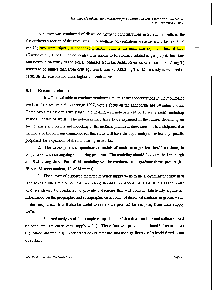A survey was conducted of dissolved methane concentrations in 23 supply wells in the Saskatchewan portion of the study area. The methane concentrations were generally low  $(< 0.05$ mg/L); two were slightly higher than  $1 \text{ mg/L}$  which is the minimum explosion hazard level (Harder et al., 1965). The concentrations appear to be strongly related to geographic locations and completion zones of the wells. Samples from the Judith River sands (mean  $= 0.21$  mg/L) tended to be higher than from drift aquifers (mean  $< 0.002$  mg/L). More study is required to establish the reasons for these higher concentrations.

#### **8.1 Recommendations**

1. ·It will be valuable to continue monitoring the methane concentrations in the monitoring wells at four research sites through 1997, with a focus on the Lindbergh and Swimming sites. These two sites have relatively large monitoring well networks (14 or 15 wells each), including vertical "nests" of wells. The networks may have to be expanded in the future, depending on further analytical results and modeling of the methane plumes at these sites. It is anticipated that members of the steering committee for this study will have the opportunity to review any specific proposals for expansion of the monitoring networks.

2. The development of quantitative models of methane migration should continue, in conjunction with an ongoing monitoring program. The modeling should focus on the Lindbergh and Swimming sites. Part of this modeling will be conducted as a graduate thesis project (M. Rieser, Masters student, U. of Montana).

3. The survey of dissolved methane in water supply wells in the Lloydminster study area (and selected other hydrochemical parameters) should he expanded. At least 50 to 100 additional analyses should be conducted to provide a database that will contain statistically significant information on the geographic and stratigraphic distribution of dissolved methane in groundwater in the study area. It will also be useful to review the protocol for sampling from these supply wells.

4. Selected analyses of the isotopic compositions of dissolved methane and sulfate should be conducted (research sites, supply wells). These data will provide additional information on the source and fate (e.g., biodegradation) of methane, and the significance of microbial reduction of sulfate.

೯—